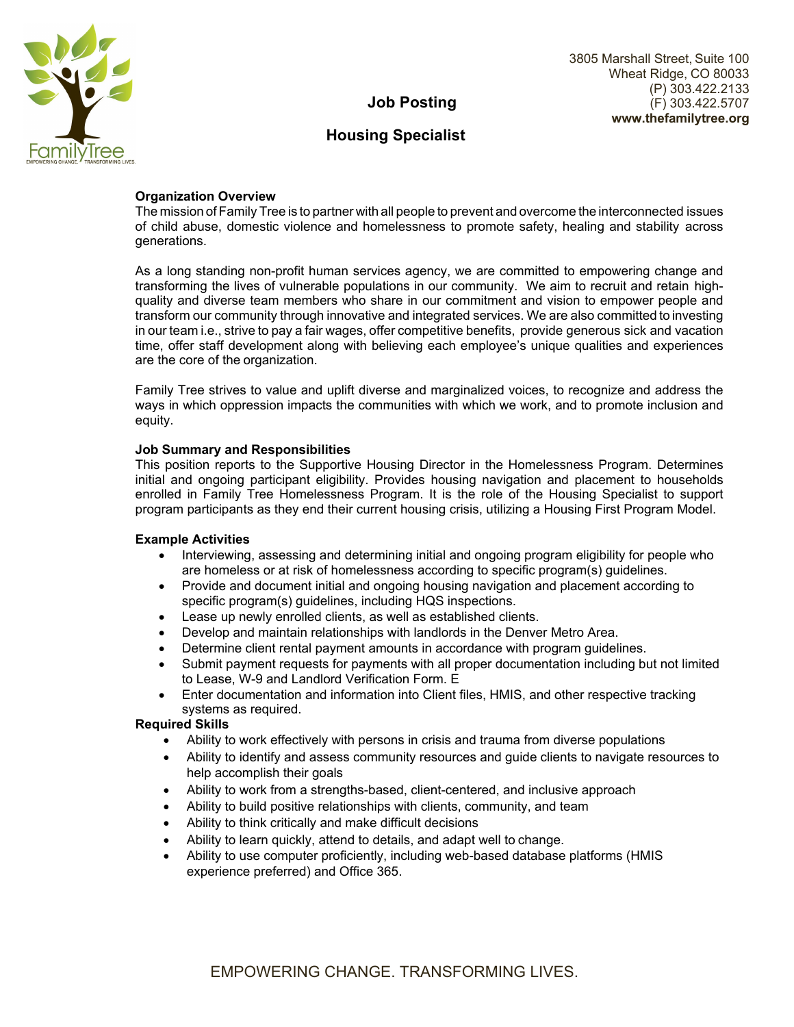

# **Job Posting**

# **Housing Specialist**

## **Organization Overview**

The mission of Family Tree is to partner with all people to prevent and overcome the interconnected issues of child abuse, domestic violence and homelessness to promote safety, healing and stability across generations.

As a long standing non-profit human services agency, we are committed to empowering change and transforming the lives of vulnerable populations in our community. We aim to recruit and retain highquality and diverse team members who share in our commitment and vision to empower people and transform our community through innovative and integrated services. We are also committed to investing in our team i.e., strive to pay a fair wages, offer competitive benefits, provide generous sick and vacation time, offer staff development along with believing each employee's unique qualities and experiences are the core of the organization.

Family Tree strives to value and uplift diverse and marginalized voices, to recognize and address the ways in which oppression impacts the communities with which we work, and to promote inclusion and equity.

# **Job Summary and Responsibilities**

This position reports to the Supportive Housing Director in the Homelessness Program. Determines initial and ongoing participant eligibility. Provides housing navigation and placement to households enrolled in Family Tree Homelessness Program. It is the role of the Housing Specialist to support program participants as they end their current housing crisis, utilizing a Housing First Program Model.

### **Example Activities**

- Interviewing, assessing and determining initial and ongoing program eligibility for people who are homeless or at risk of homelessness according to specific program(s) guidelines.
- Provide and document initial and ongoing housing navigation and placement according to specific program(s) guidelines, including HQS inspections.
- Lease up newly enrolled clients, as well as established clients.
- Develop and maintain relationships with landlords in the Denver Metro Area.
- Determine client rental payment amounts in accordance with program guidelines.
- Submit payment requests for payments with all proper documentation including but not limited to Lease, W-9 and Landlord Verification Form. E
- Enter documentation and information into Client files, HMIS, and other respective tracking systems as required.

### **Required Skills**

- Ability to work effectively with persons in crisis and trauma from diverse populations
- Ability to identify and assess community resources and guide clients to navigate resources to help accomplish their goals
- Ability to work from a strengths-based, client-centered, and inclusive approach
- Ability to build positive relationships with clients, community, and team
- Ability to think critically and make difficult decisions
- Ability to learn quickly, attend to details, and adapt well to change.
- Ability to use computer proficiently, including web-based database platforms (HMIS experience preferred) and Office 365.